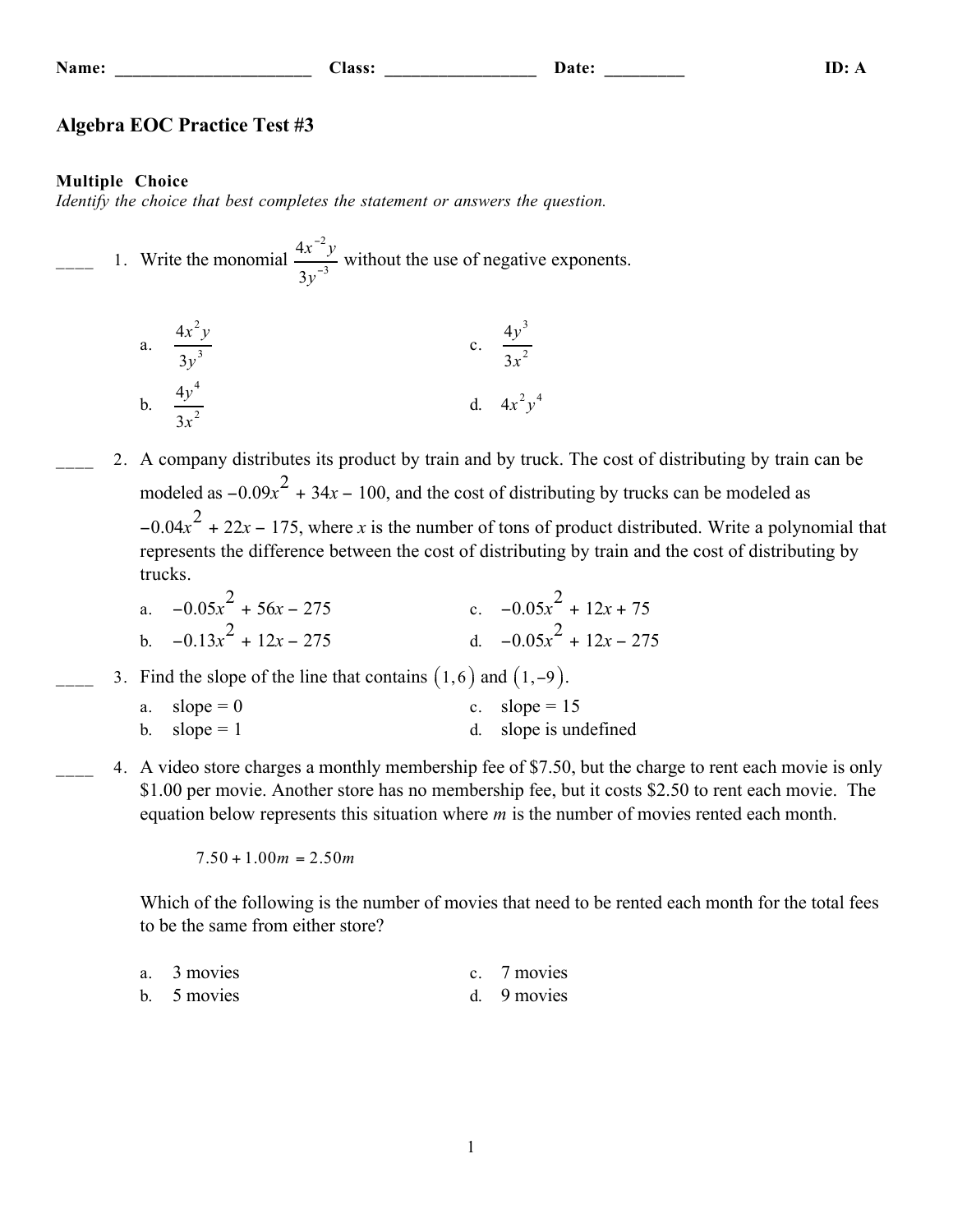#### **Class:**

Date:

### **Algebra EOC Practice Test #3**

#### **Multiple Choice**

Identify the choice that best completes the statement or answers the question.

1. Write the monomial  $\frac{4x^{-2}y}{3y^{-3}}$  without the use of negative exponents.

a. 
$$
\frac{4x^2y}{3y^3}
$$
 c.  $\frac{4y^3}{3x^2}$   
b.  $\frac{4y^4}{3x^2}$  d.  $4x^2y^4$ 

2. A company distributes its product by train and by truck. The cost of distributing by train can be modeled as  $-0.09x^2 + 34x - 100$ , and the cost of distributing by trucks can be modeled as  $-0.04x<sup>2</sup> + 22x - 175$ , where x is the number of tons of product distributed. Write a polynomial that represents the difference between the cost of distributing by train and the cost of distributing by trucks.

a. 
$$
-0.05x^2 + 56x - 275
$$
  
\nb.  $-0.13x^2 + 12x - 275$   
\nc.  $-0.05x^2 + 12x + 75$   
\nd.  $-0.05x^2 + 12x - 275$ 

3. Find the slope of the line that contains  $(1,6)$  and  $(1,-9)$ .

| a. $slope = 0$ | c. slope = $15$       |
|----------------|-----------------------|
| b. slope = $1$ | d. slope is undefined |

4. A video store charges a monthly membership fee of \$7.50, but the charge to rent each movie is only \$1.00 per movie. Another store has no membership fee, but it costs \$2.50 to rent each movie. The equation below represents this situation where  $m$  is the number of movies rented each month.

 $7.50 + 1.00m = 2.50m$ 

Which of the following is the number of movies that need to be rented each month for the total fees to be the same from either store?

| a. $\frac{3}{2}$ movies | $\gamma$ movies |
|-------------------------|-----------------|
| b. 5 movies             | 9 movies        |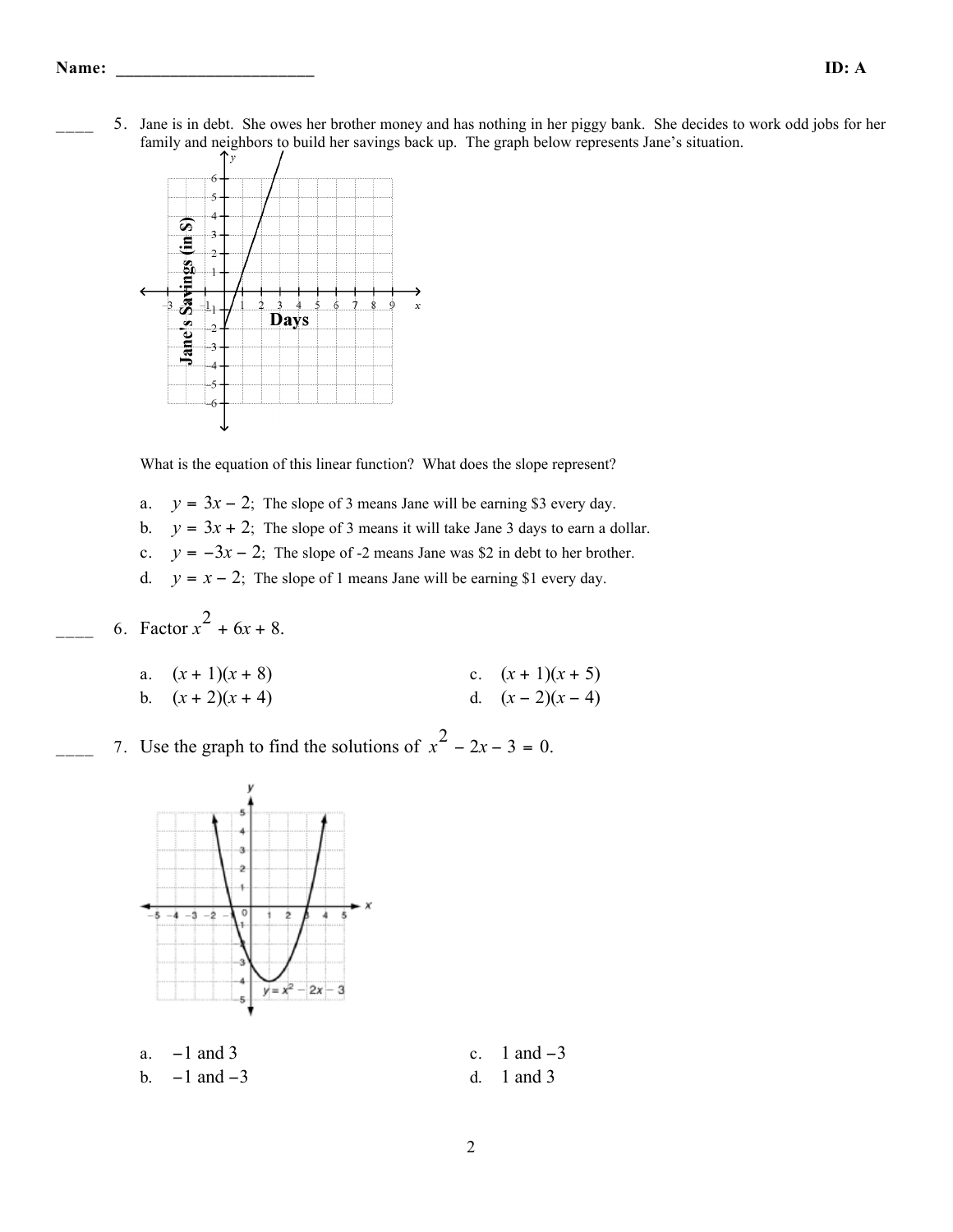5. Jane is in debt. She owes her brother money and has nothing in her piggy bank. She decides to work odd jobs for her family and neighbors to build her savings back up. The graph below represents Jane's situation.



What is the equation of this linear function? What does the slope represent?

- a.  $y = 3x 2$ ; The slope of 3 means Jane will be earning \$3 every day.
- b.  $y = 3x + 2$ ; The slope of 3 means it will take Jane 3 days to earn a dollar.
- c.  $y = -3x 2$ ; The slope of -2 means Jane was \$2 in debt to her brother.
- d.  $y = x 2$ ; The slope of 1 means Jane will be earning \$1 every day.
- 6. Factor  $x^2 + 6x + 8$ .
	- a.  $(x + 1)(x + 8)$ <br>b.  $(x + 2)(x + 4)$ <br>c.  $(x + 1)(x + 5)$ <br>d.  $(x 2)(x 4)$ d.  $(x-2)(x-4)$
- $\frac{1}{2}$  7. Use the graph to find the solutions of  $x^2 2x 3 = 0$ .



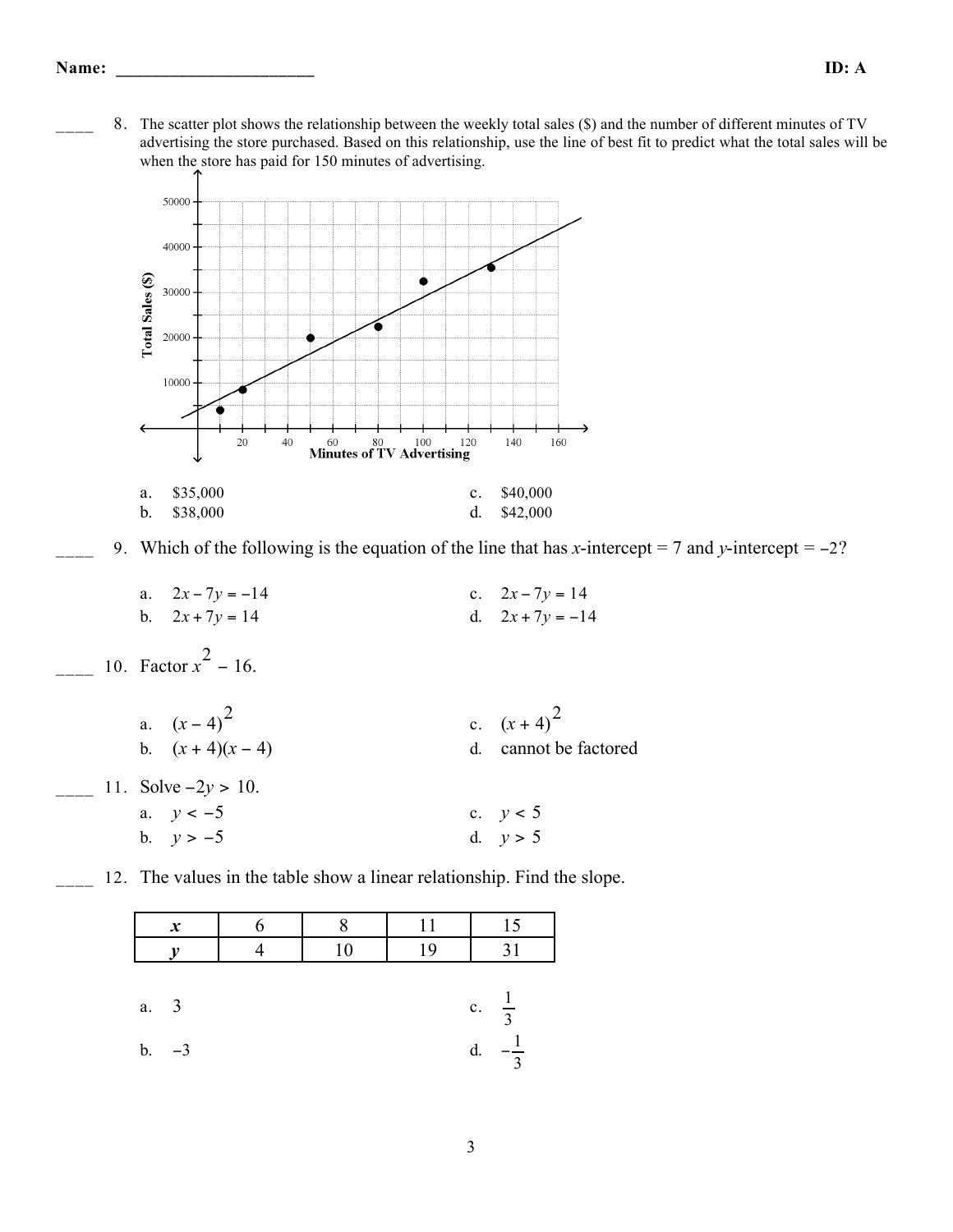\_\_\_\_ 8. The scatter plot shows the relationship between the weekly total sales (\$) and the number of different minutes of TV advertising the store purchased. Based on this relationship, use the line of best fit to predict what the total sales will be when the store has paid for 150 minutes of advertising.



\_\_\_\_ 9. Which of the following is the equation of the line that has *x*-intercept = 7 and *y*-intercept = −2?

a.  $2x - 7y = -14$  c.  $2x - 7y = 14$ b.  $2x + 7y = 14$  d.  $2x + 7y = -14$ 

 $\frac{10}{2}$  10. Factor  $x^2 - 16$ .

**11.** 

| a. $(x-4)^2$<br>b. $(x+4)(x-4)$ | c. $(x+4)^2$<br>d. cannot be factored |
|---------------------------------|---------------------------------------|
| Solve $-2y > 10$ .              |                                       |
| a. $y < -5$                     | c. $y < 5$                            |
| b. $y > -5$                     | d. $v > 5$                            |

12. The values in the table show a linear relationship. Find the slope.

|      | $\boldsymbol{x}$ |        | 11 | 15                   |
|------|------------------|--------|----|----------------------|
|      |                  | $10\,$ | 19 | 31                   |
|      |                  |        |    |                      |
| a. 3 |                  |        |    | c. $\frac{1}{3}$     |
| b.   | $-3$             |        |    | d.<br>$\overline{3}$ |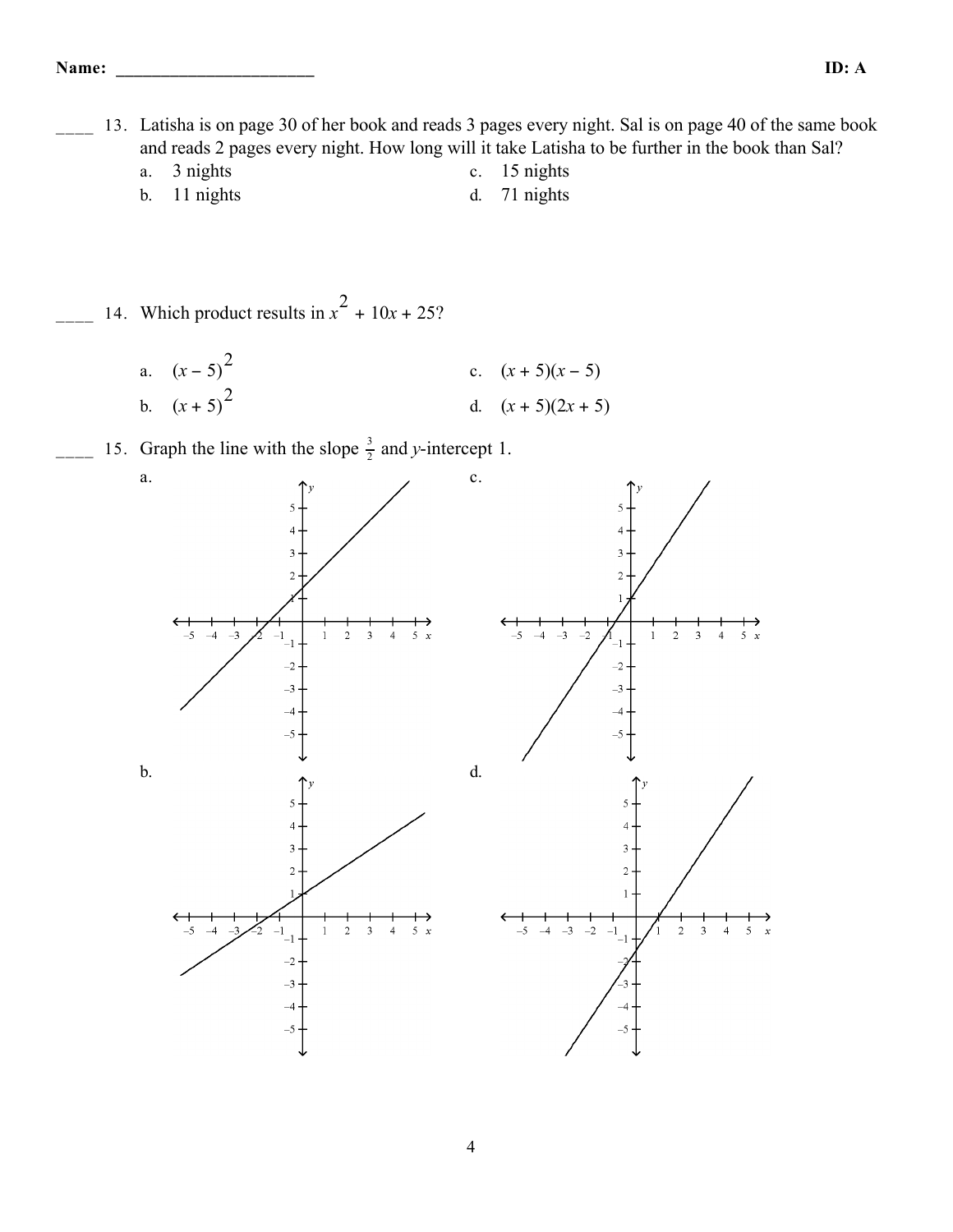13. Latisha is on page 30 of her book and reads 3 pages every night. Sal is on page 40 of the same book and reads 2 pages every night. How long will it take Latisha to be further in the book than Sal?

- a. 3 nights c. 15 nights b. 11 nights d. 71 nights
- 
- $\frac{1}{2}$  14. Which product results in  $x^2 + 10x + 25$ ?
	- a.  $(x-5)^2$ c.  $(x+5)(x-5)$ b.  $(x + 5)$ d.  $(x + 5)(2x + 5)$
- $\frac{1}{2}$  15. Graph the line with the slope  $\frac{3}{2}$  and *y*-intercept 1.

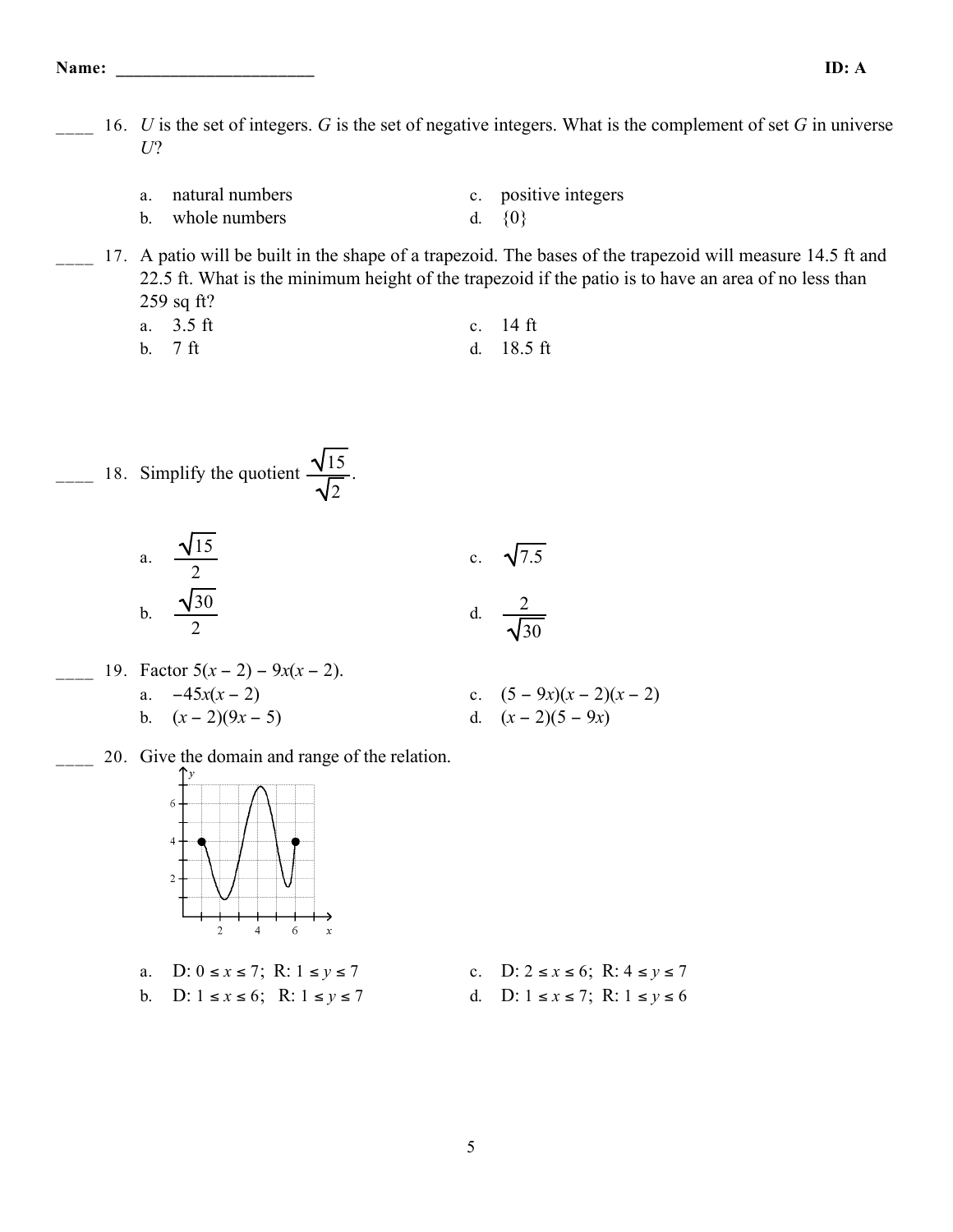**Name: \_\_\_\_\_\_\_\_\_\_\_\_\_\_\_\_\_\_\_\_\_\_ ID: A**

- 16. *U* is the set of integers. *G* is the set of negative integers. What is the complement of set *G* in universe *U*?
	- a. natural numbers c. positive integers b. whole numbers  $d. \{0\}$

17. A patio will be built in the shape of a trapezoid. The bases of the trapezoid will measure 14.5 ft and 22.5 ft. What is the minimum height of the trapezoid if the patio is to have an area of no less than 259 sq ft?

a. 3.5 ft c. 14 ft b. 7 ft d. 18.5 ft

$$
18. Simplify the quotient  $\frac{\sqrt{15}}{\sqrt{2}}$ .
$$

a. 
$$
\frac{\sqrt{15}}{2}
$$
  
b.  $\frac{\sqrt{30}}{2}$   
c.  $\sqrt{7.5}$   
d.  $\frac{2}{\sqrt{30}}$ 

- \_\_\_\_ 19. Factor 5(*x* − 2) − 9*x*(*x* − 2). a.  $-45x(x-2)$  c.  $(5-9x)(x-2)(x-2)$ b.  $(x-2)(9x-5)$  d.  $(x-2)(5-9x)$ 
	- \_\_\_\_ 20. Give the domain and range of the relation.



- a. D: 0 ≤ *x* ≤ 7; R: 1 ≤ *y* ≤ 7 c. D: 2 ≤ *x* ≤ 6; R: 4 ≤ *y* ≤ 7
- b. D: 1 ≤ *x* ≤ 6; R: 1 ≤ *y* ≤ 7 d. D: 1 ≤ *x* ≤ 7; R: 1 ≤ *y* ≤ 6
- -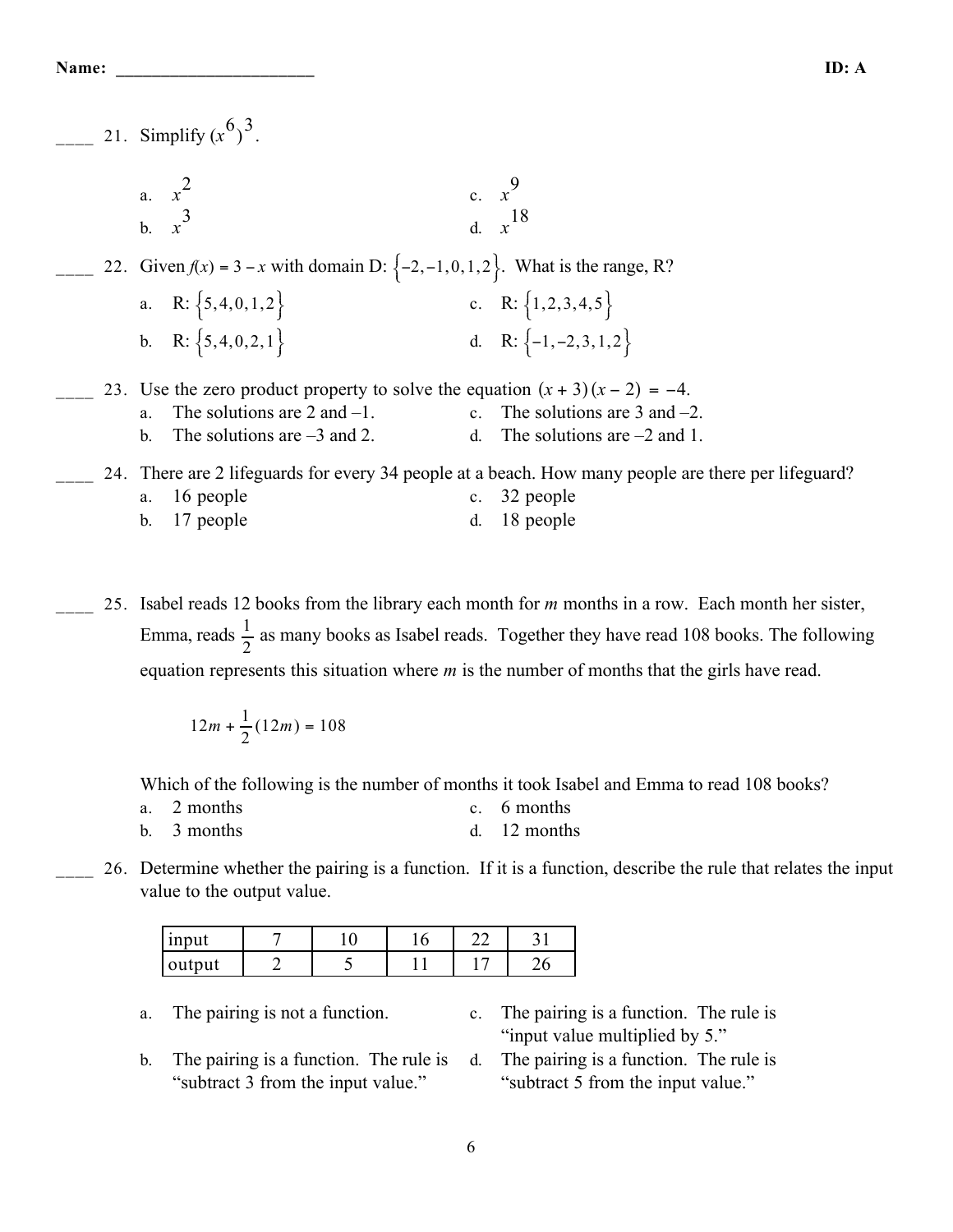|  | 21. Simplify $(x^6)^3$ .                                                              |    |                                                                                                     |
|--|---------------------------------------------------------------------------------------|----|-----------------------------------------------------------------------------------------------------|
|  | a. $x^2$                                                                              |    | c. $x^9$<br>d $x^{18}$                                                                              |
|  | 22. Given $f(x) = 3 - x$ with domain D: $\{-2, -1, 0, 1, 2\}$ . What is the range, R? |    |                                                                                                     |
|  | a. R: $\{5, 4, 0, 1, 2\}$                                                             |    | c. R: $\{1, 2, 3, 4, 5\}$                                                                           |
|  | b. R: $\{5,4,0,2,1\}$                                                                 |    | d. R: $\{-1, -2, 3, 1, 2\}$                                                                         |
|  | 23. Use the zero product property to solve the equation $(x + 3)(x - 2) = -4$ .       |    |                                                                                                     |
|  | The solutions are $2$ and $-1$ .<br>a.                                                |    | c. The solutions are $3$ and $-2$ .                                                                 |
|  | The solutions are $-3$ and 2.<br>$\mathbf{b}$ .                                       | d. | The solutions are $-2$ and 1.                                                                       |
|  |                                                                                       |    | 24. There are 2 lifeguards for every 34 people at a beach. How many people are there per lifeguard? |
|  | a. 16 people                                                                          |    | c. 32 people                                                                                        |
|  | b. 17 people                                                                          | d. | 18 people                                                                                           |

\_\_\_\_ 25. Isabel reads 12 books from the library each month for *m* months in a row. Each month her sister, Emma, reads  $\frac{1}{2}$  as many books as Isabel reads. Together they have read 108 books. The following equation represents this situation where *m* is the number of months that the girls have read.

$$
12m + \frac{1}{2}(12m) = 108
$$

Which of the following is the number of months it took Isabel and Emma to read 108 books?

| a. 2 months              | c. 6 months    |
|--------------------------|----------------|
| b. $\overline{3}$ months | d. $12$ months |

\_\_\_\_ 26. Determine whether the pairing is a function. If it is a function, describe the rule that relates the input value to the output value.

| 100111<br>111 D U U | ⊥ ∪ | ×.<br>∼ | $\sim$<br>$-$ |     |
|---------------------|-----|---------|---------------|-----|
| output              |     |         | $\sim$        | — 1 |

- 
- b. The pairing is a function. The rule is "subtract 3 from the input value."
- a. The pairing is not a function. c. The pairing is a function. The rule is "input value multiplied by 5."
	- d. The pairing is a function. The rule is "subtract 5 from the input value."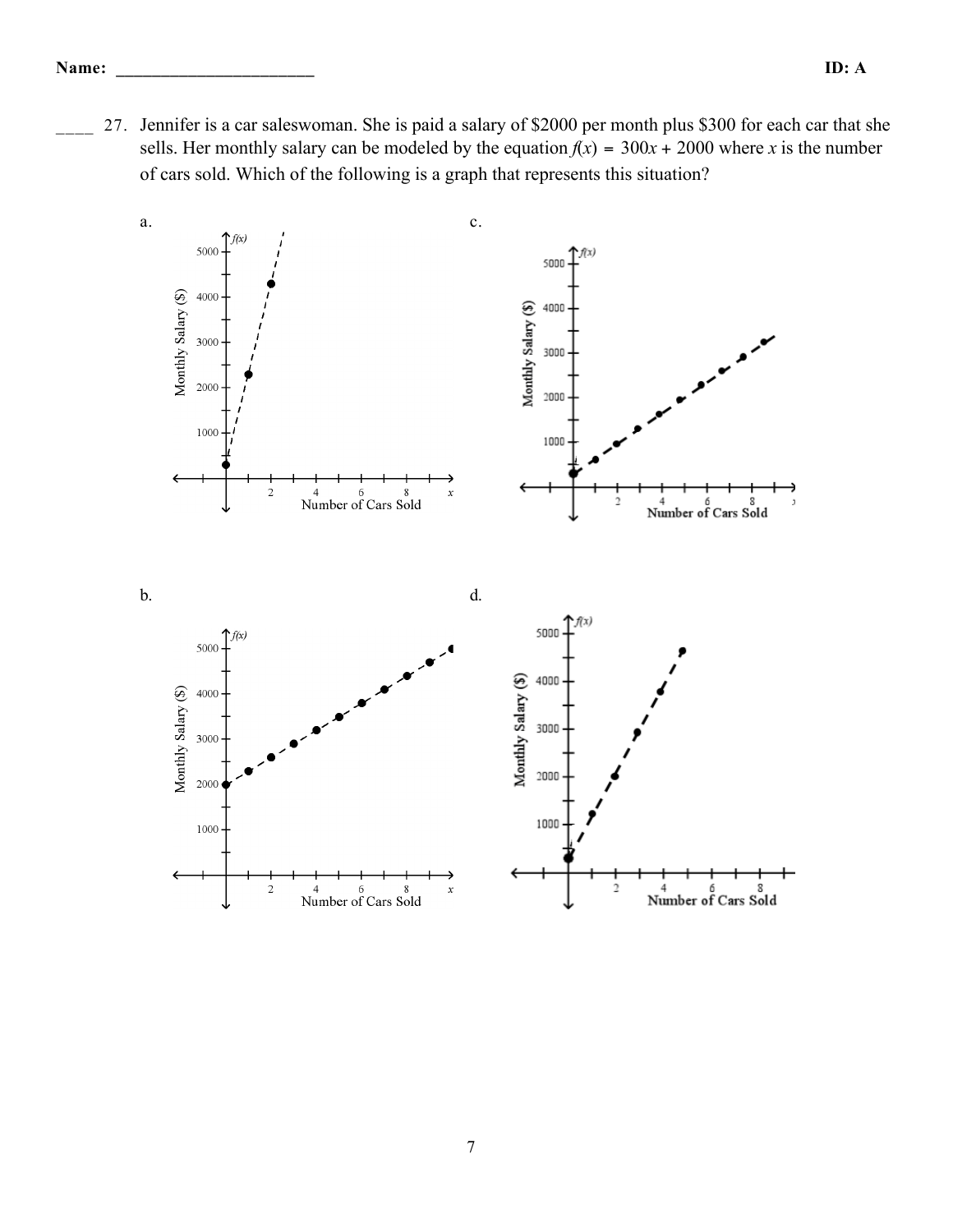27. Jennifer is a car saleswoman. She is paid a salary of \$2000 per month plus \$300 for each car that she sells. Her monthly salary can be modeled by the equation  $f(x) = 300x + 2000$  where *x* is the number of cars sold. Which of the following is a graph that represents this situation?

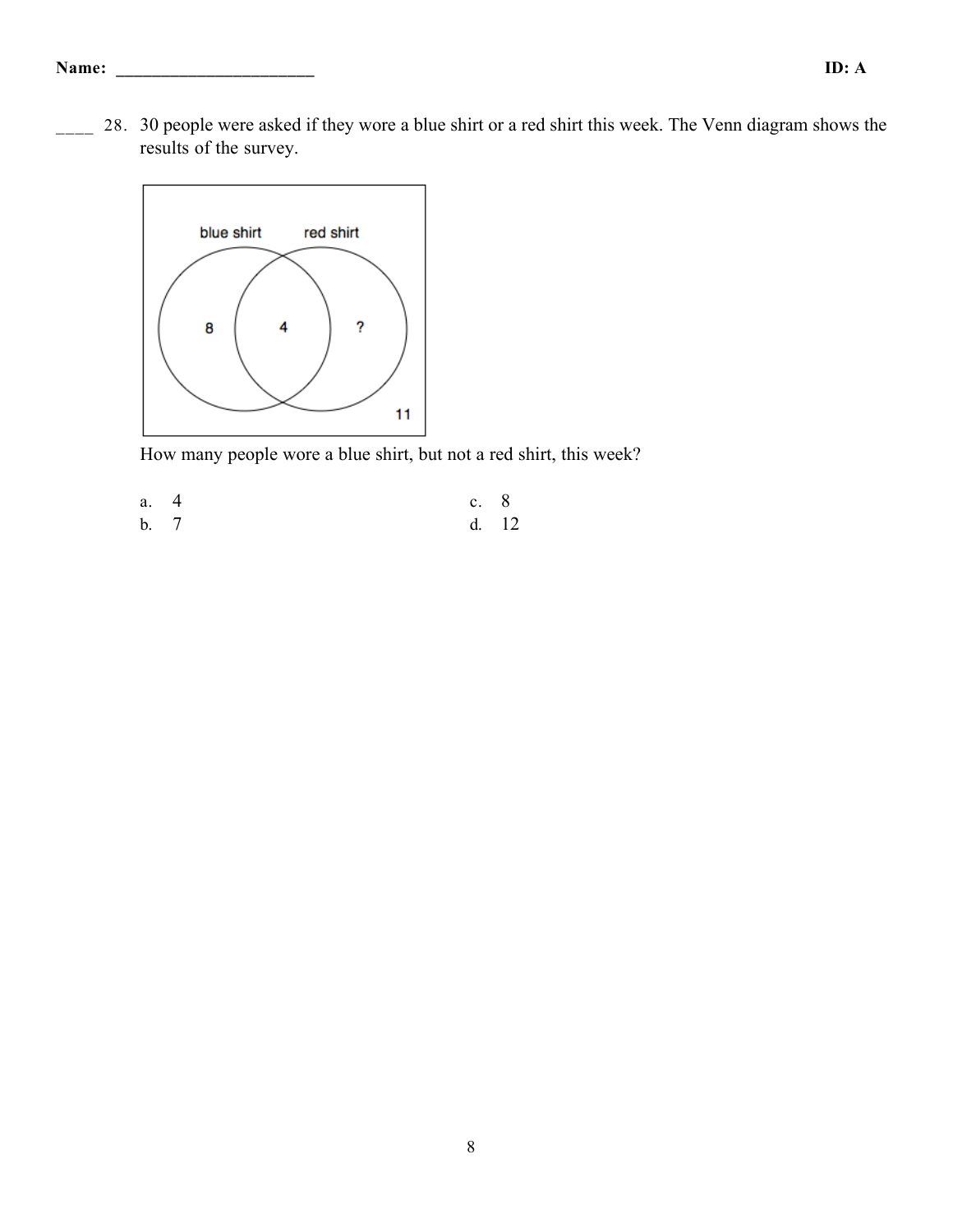28. 30 people were asked if they wore a blue shirt or a red shirt this week. The Venn diagram shows the results of the survey.



How many people wore a blue shirt, but not a red shirt, this week?

a. 4 c. 8 b. 7 d. 12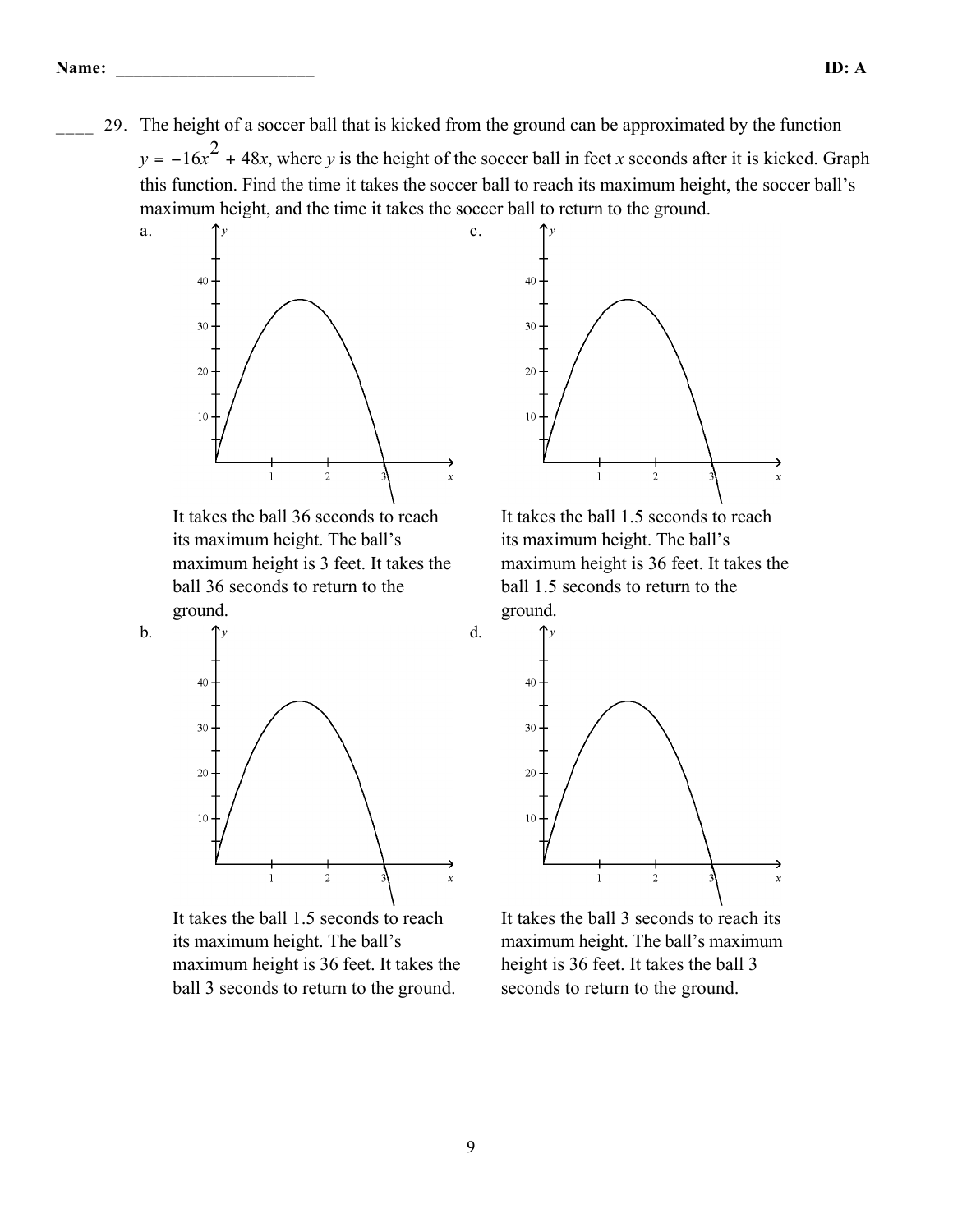\_\_\_\_ 29. The height of a soccer ball that is kicked from the ground can be approximated by the function  $y = -16x^2 + 48x$ , where *y* is the height of the soccer ball in feet *x* seconds after it is kicked. Graph this function. Find the time it takes the soccer ball to reach its maximum height, the soccer ball's maximum height, and the time it takes the soccer ball to return to the ground.

c.

d.



a.

b.

It takes the ball 36 seconds to reach its maximum height. The ball's maximum height is 3 feet. It takes the ball 36 seconds to return to the ground.



It takes the ball 1.5 seconds to reach its maximum height. The ball's maximum height is 36 feet. It takes the ball 3 seconds to return to the ground.



It takes the ball 1.5 seconds to reach its maximum height. The ball's maximum height is 36 feet. It takes the ball 1.5 seconds to return to the ground.



It takes the ball 3 seconds to reach its maximum height. The ball's maximum height is 36 feet. It takes the ball 3 seconds to return to the ground.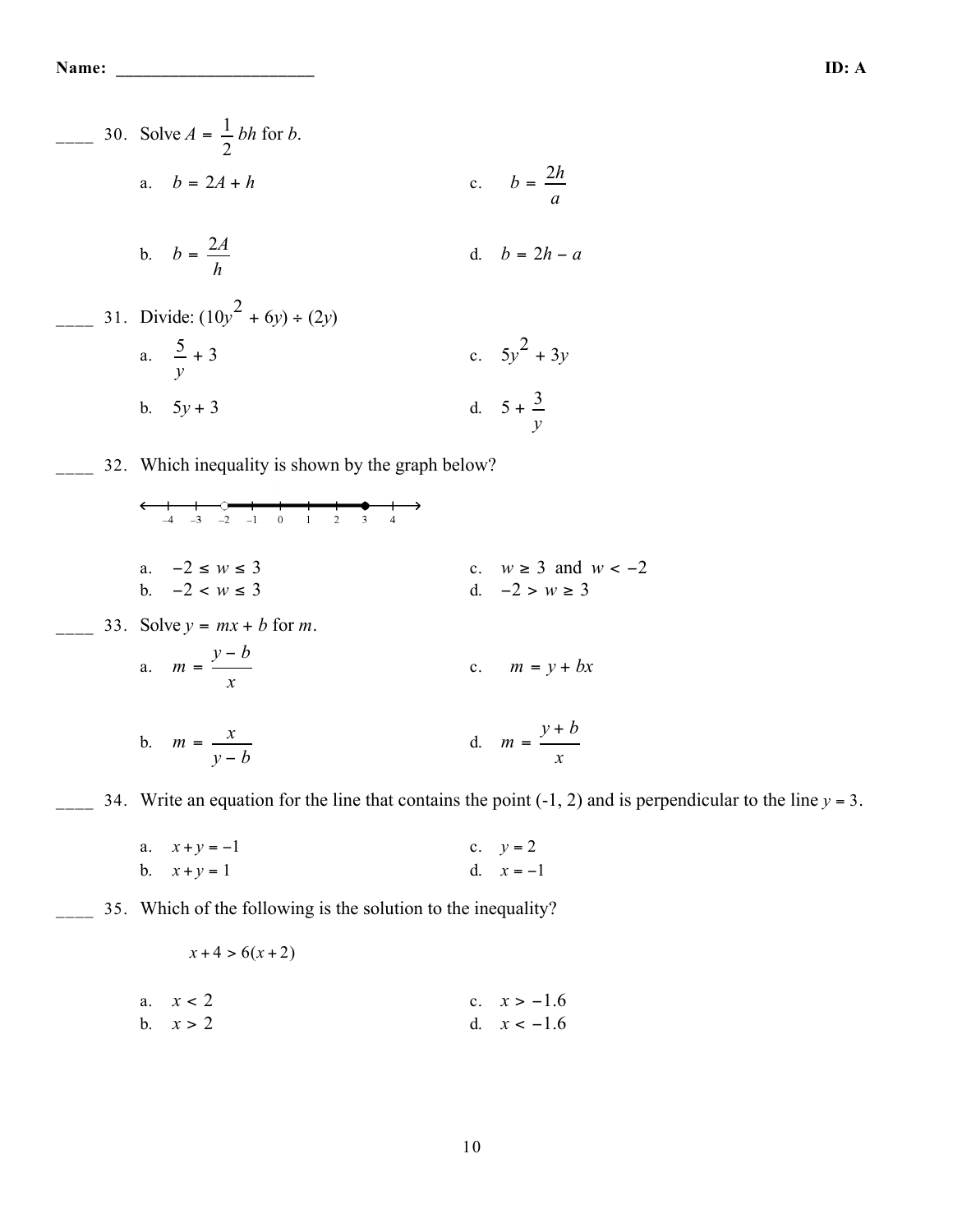**Name: \_\_\_\_\_\_\_\_\_\_\_\_\_\_\_\_\_\_\_\_\_\_ ID: A**

\_\_\_\_ 30. Solve *<sup>A</sup>* <sup>=</sup> <sup>1</sup> 2 *bh* for *b*. a. *<sup>b</sup>* <sup>=</sup> <sup>2</sup>*<sup>A</sup>* <sup>+</sup> *<sup>h</sup>* c. *<sup>b</sup>* <sup>=</sup> <sup>2</sup>*<sup>h</sup> a* b. *<sup>b</sup>* <sup>=</sup> <sup>2</sup>*<sup>A</sup> h* d. *b* = 2*h* − *a* \_\_\_\_ 31. Divide: (10*y* 2 + 6*y*) ÷ (2*y*) a. 5 *y* + 3 c. 5*y* 2 + 3*y* b. 5*y* + 3 d. 5 + 3 *y* \_\_\_\_ 32. Which inequality is shown by the graph below? a. −2 ≤ *w* ≤ 3 c. *w* ≥ 3 and *w* < −2 b. −2 < *w* ≤ 3 d. −2 > *w* ≥ 3 \_\_\_\_ 33. Solve *y* = *mx* + *b* for *m*. a. *<sup>m</sup>* <sup>=</sup> *<sup>y</sup>* <sup>−</sup> *<sup>b</sup> x* c. *m* = *y* + *bx* b. *<sup>m</sup>* <sup>=</sup> *<sup>x</sup> y* − *b* d. *<sup>m</sup>* <sup>=</sup> *<sup>y</sup>* <sup>+</sup> *<sup>b</sup> x* \_\_\_\_ 34. Write an equation for the line that contains the point (-1, 2) and is perpendicular to the line *y* = 3. a. *x* + *y* = −1 c. *y* = 2 b. *x* + *y* = 1 d. *x* = −1

b. 
$$
x + y = 1
$$
 d.  $x = -1$ 

\_\_\_\_ 35. Which of the following is the solution to the inequality?

$$
x+4 > 6(x+2)
$$

a. 
$$
x < 2
$$
  
\nb.  $x > 2$   
\nc.  $x > -1.6$   
\nd.  $x < -1.6$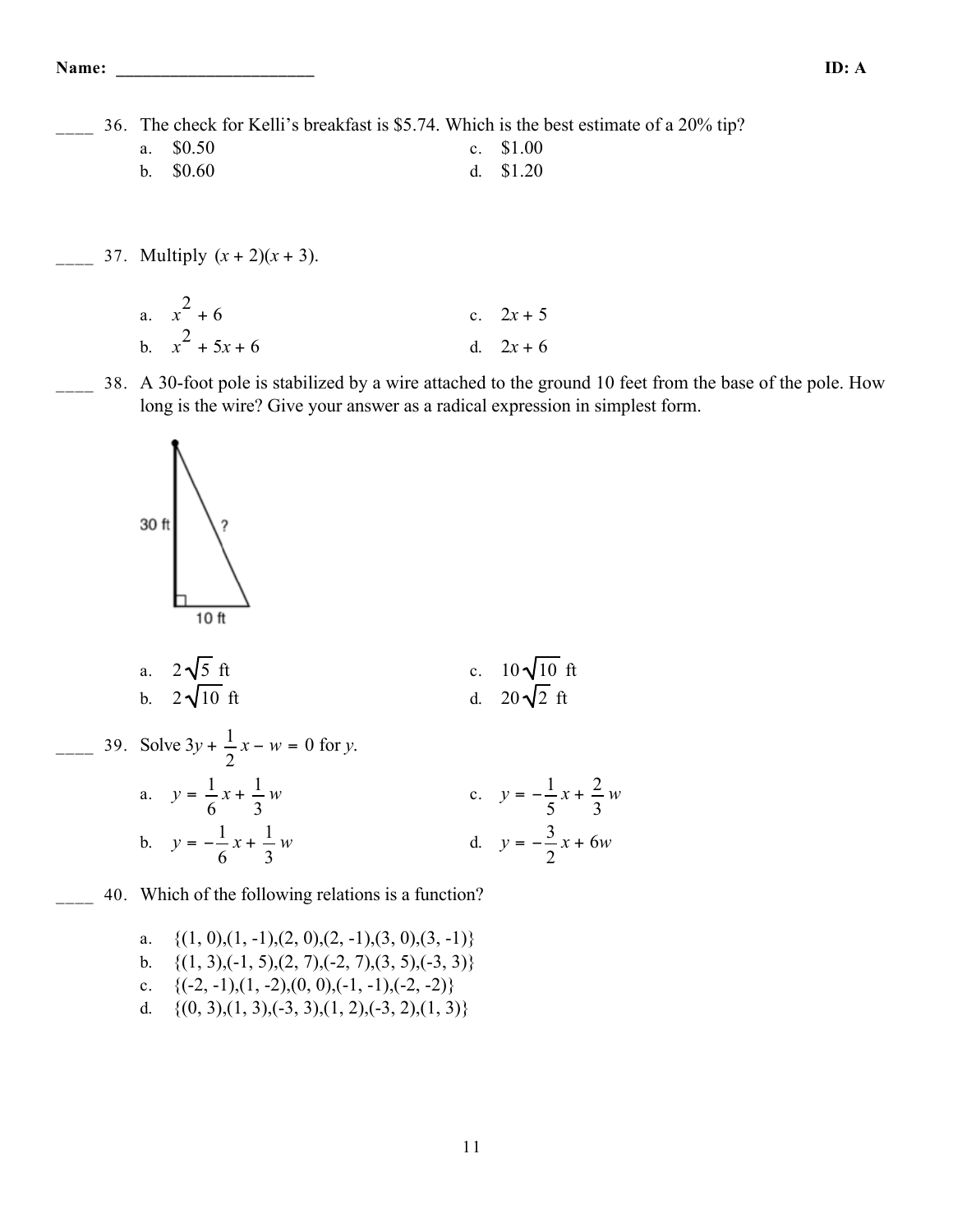**Name: \_\_\_\_\_\_\_\_\_\_\_\_\_\_\_\_\_\_\_\_\_\_ ID: A**

36. The check for Kelli's breakfast is \$5.74. Which is the best estimate of a 20% tip?

- a. \$0.50 c. \$1.00 b. \$0.60 d. \$1.20
- $\frac{1}{2}$  37. Multiply  $(x + 2)(x + 3)$ .
	- a.  $x^2$ c.  $2x + 5$ b.  $x^2$ d.  $2x + 6$
	- 38. A 30-foot pole is stabilized by a wire attached to the ground 10 feet from the base of the pole. How long is the wire? Give your answer as a radical expression in simplest form.



a. 
$$
2\sqrt{5}
$$
 ft  
b.  $2\sqrt{10}$  ft  
d.  $20\sqrt{2}$  ft

39. Solve 
$$
3y + \frac{1}{2}x - w = 0
$$
 for y.  
\na.  $y = \frac{1}{6}x + \frac{1}{3}w$   
\nb.  $y = -\frac{1}{6}x + \frac{1}{3}w$   
\nc.  $y = -\frac{1}{5}x + \frac{2}{3}w$   
\nd.  $y = -\frac{3}{2}x + 6w$ 

40. Which of the following relations is a function?

a. 
$$
\{(1, 0), (1, -1), (2, 0), (2, -1), (3, 0), (3, -1)\}
$$
  
b.  $\{(1, 3), (-1, 5), (2, 7), (-2, 7), (3, 5), (-3, 3)\}$   
c.  $\{(-2, -1), (1, -2), (0, 0), (-1, -1), (-2, -2)\}$   
d.  $\{(0, 3), (1, 3), (-3, 3), (1, 2), (-3, 2), (1, 3)\}$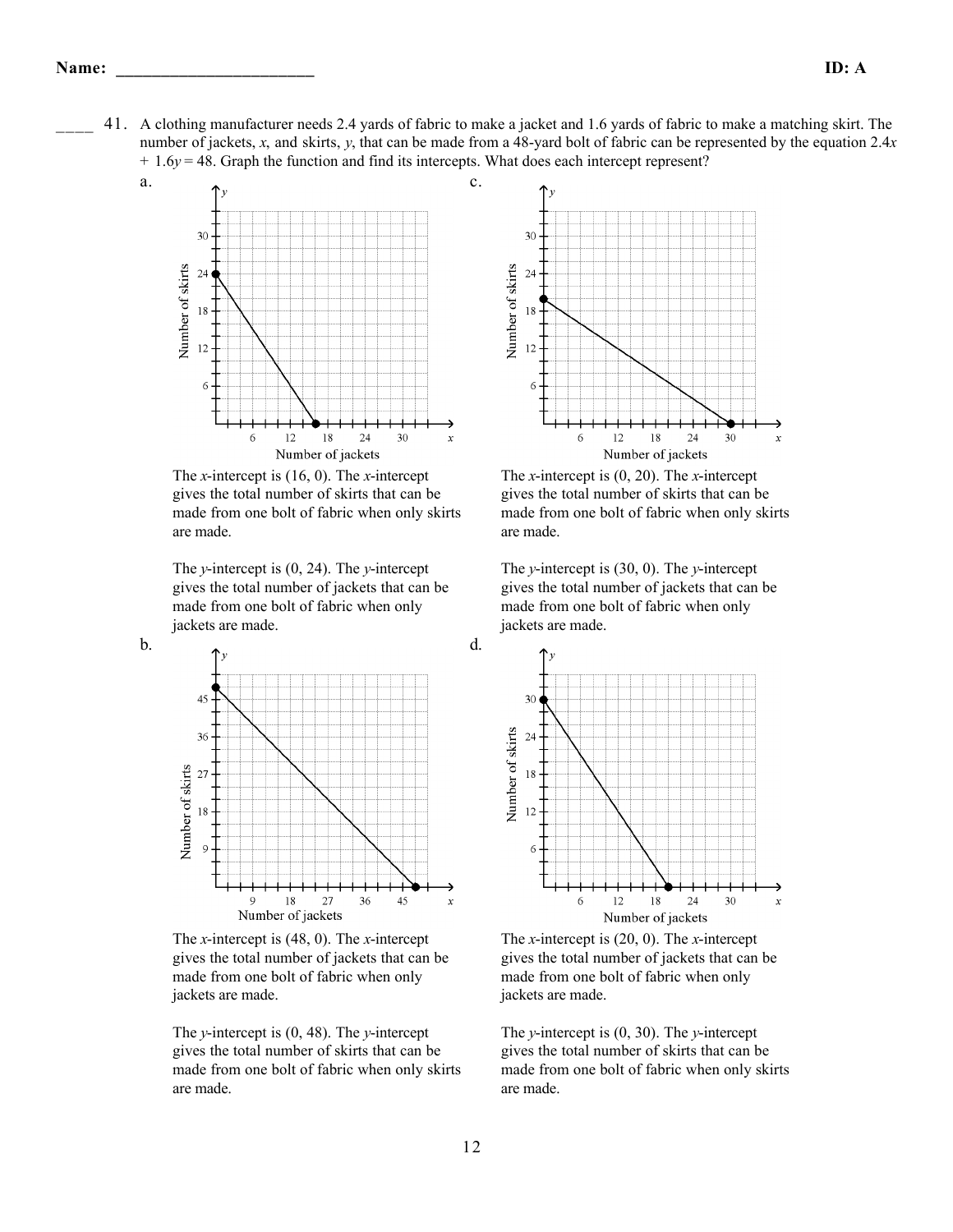a.

b.

\_\_\_\_ 41. A clothing manufacturer needs 2.4 yards of fabric to make a jacket and 1.6 yards of fabric to make a matching skirt. The number of jackets, *x*, and skirts, *y*, that can be made from a 48-yard bolt of fabric can be represented by the equation 2.4*x* + 1.6*y* = 48. Graph the function and find its intercepts. What does each intercept represent?

c.

d.



The *x*-intercept is (16, 0). The *x*-intercept gives the total number of skirts that can be made from one bolt of fabric when only skirts are made.

The *y*-intercept is (0, 24). The *y*-intercept gives the total number of jackets that can be made from one bolt of fabric when only jackets are made.



The *x*-intercept is (48, 0). The *x*-intercept gives the total number of jackets that can be made from one bolt of fabric when only jackets are made.

The *y*-intercept is (0, 48). The *y*-intercept gives the total number of skirts that can be made from one bolt of fabric when only skirts are made.



The *x*-intercept is (0, 20). The *x*-intercept gives the total number of skirts that can be made from one bolt of fabric when only skirts are made.

The *y*-intercept is (30, 0). The *y*-intercept gives the total number of jackets that can be made from one bolt of fabric when only jackets are made.



The *x*-intercept is (20, 0). The *x*-intercept gives the total number of jackets that can be made from one bolt of fabric when only jackets are made.

The *y*-intercept is (0, 30). The *y*-intercept gives the total number of skirts that can be made from one bolt of fabric when only skirts are made.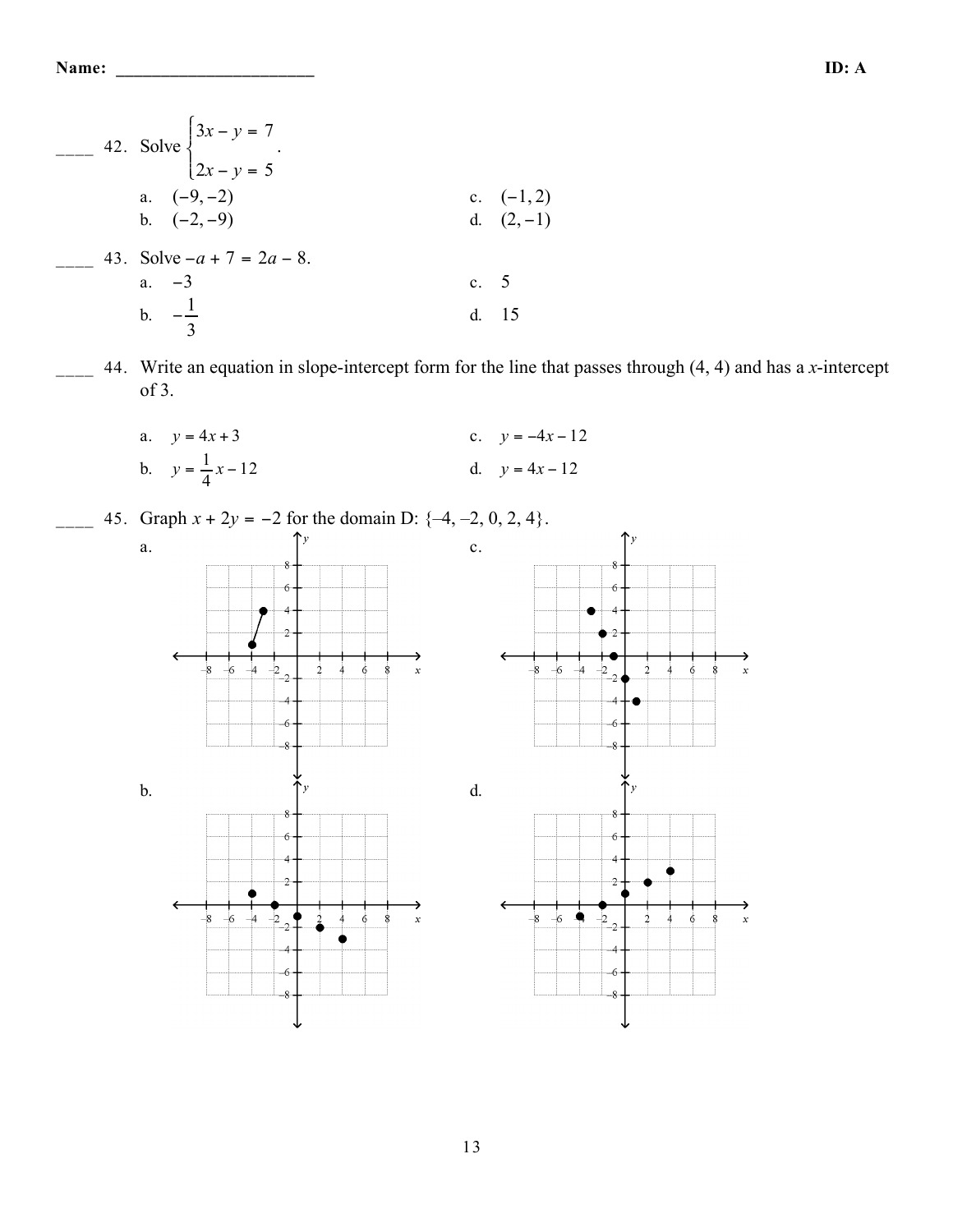Name:

- 42. Solve  $\begin{cases} 3x y = 7 \\ 2x y = 5 \end{cases}$ . a.  $(-9, -2)$ c.  $(-1, 2)$ b.  $(-2,-9)$ d.  $(2,-1)$ 43. Solve  $-a + 7 = 2a - 8$ . a.  $-3$ 5  $\mathbf{c}$ . b.  $-\frac{1}{3}$ d. 15
- 44. Write an equation in slope-intercept form for the line that passes through  $(4, 4)$  and has a x-intercept  $of 3.$ 
	- a.  $y = 4x + 3$ c.  $y = -4x - 12$ b.  $y = \frac{1}{4}x - 12$ d.  $y = 4x - 12$
	- 45. Graph  $x + 2y = -2$  for the domain D:  $\{-4, -2, 0, 2, 4\}$ .  $\mathbf{a}$ .  $\mathbf{c}$ .  $\boldsymbol{\delta}$  $6\overline{6}$ Ģ  $\dot{\delta}$  $\dot{\delta}$  $\frac{1}{2}$  $\frac{1}{6}$  $\mathbf{x}$ A -6  $\mathrm{d}$  $\mathbf b$ .  $\cdot$ 8  $\cdot 6$  $6\phantom{1}6$ 4 b Q  $\ddot{\sigma}$  $\overline{\mathbf{8}}$  $\overline{6}$ 6 -4 4  $-6$  $\epsilon$ -8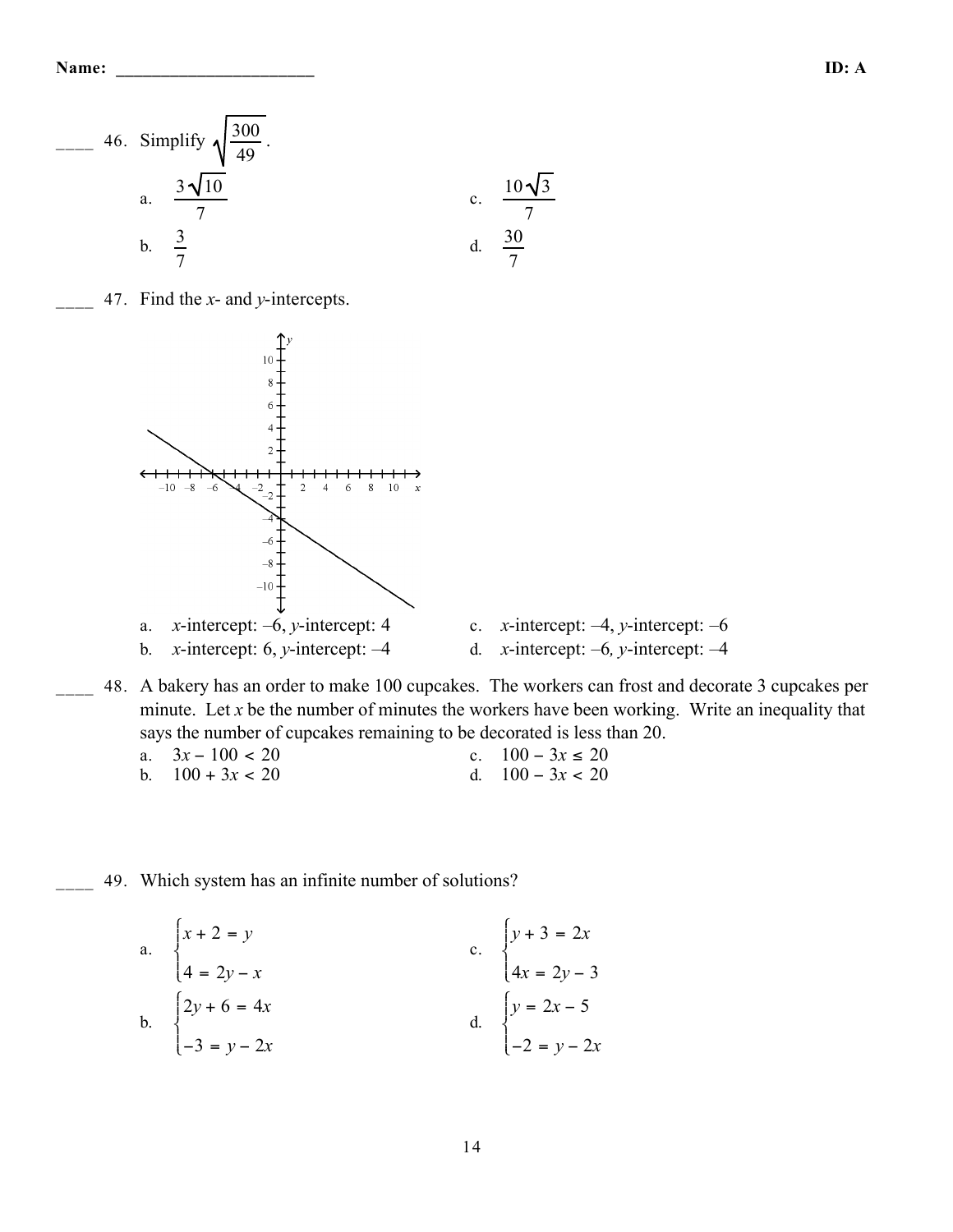

47. Find the  $x$ - and  $y$ -intercepts.



x-intercept: 6, y-intercept:  $-4$  $b.$ 

- c. *x*-intercept:  $-4$ , *y*-intercept:  $-6$ d. *x*-intercept:  $-6$ , *y*-intercept:  $-4$
- 48. A bakery has an order to make 100 cupcakes. The workers can frost and decorate 3 cupcakes per minute. Let  $x$  be the number of minutes the workers have been working. Write an inequality that says the number of cupcakes remaining to be decorated is less than 20.

| a. $3x - 100 < 20$ | c. $100 - 3x \le 20$ |
|--------------------|----------------------|
| b. $100 + 3x < 20$ | d. $100 - 3x < 20$   |

49. Which system has an infinite number of solutions?

a. 
$$
\begin{cases} x + 2 = y \\ 4 = 2y - x \\ 2y + 6 = 4x \end{cases}
$$
  
b. 
$$
\begin{cases} 2y + 6 = 4x \\ -3 = y - 2x \end{cases}
$$
  
c. 
$$
\begin{cases} y + 3 = 2x \\ 4x = 2y - 3 \\ 4x = 2y - 3 \end{cases}
$$
  
d. 
$$
\begin{cases} y = 2x - 5 \\ -2 = y - 2x \end{cases}
$$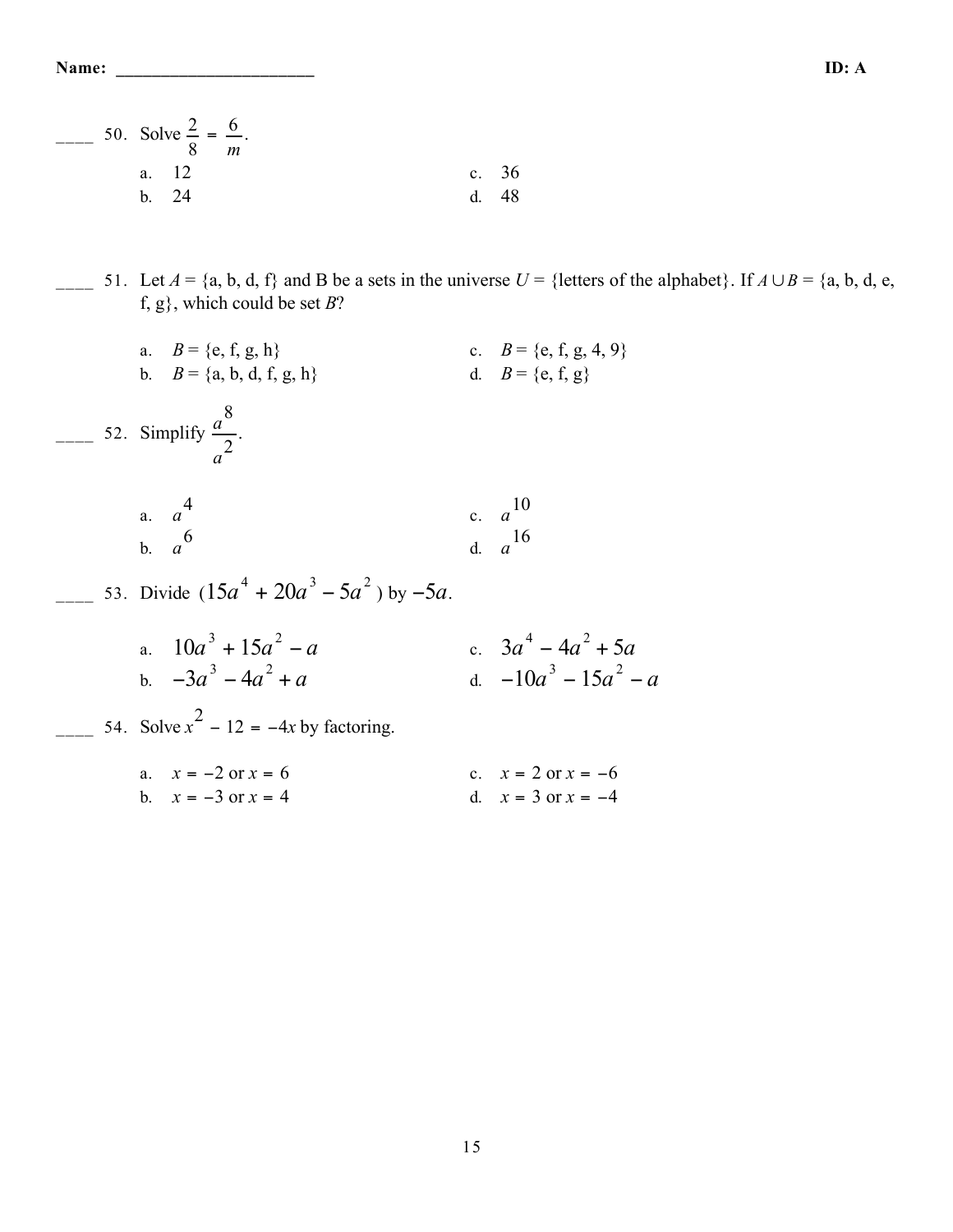|  |        | 50. Solve $\frac{2}{5} = \frac{6}{5}$ . | m |  |  |    |         |
|--|--------|-----------------------------------------|---|--|--|----|---------|
|  |        | a. 12                                   |   |  |  |    | c. $36$ |
|  | $h$ 24 |                                         |   |  |  | d. | 48      |

 $\frac{1}{2}$  51. Let *A* = {a, b, d, f} and B be a sets in the universe *U* = {letters of the alphabet}. If *A* ∪ *B* = {a, b, d, e, f, g}, which could be set *B*?

|  | a. $B = \{e, f, g, h\}$<br>b. $B = \{a, b, d, f, g, h\}$ | c. $B = \{e, f, g, 4, 9\}$<br>d. $B = \{e, f, g\}$ |
|--|----------------------------------------------------------|----------------------------------------------------|
|  | 52. Simplify $\frac{a^8}{a^2}$ .                         |                                                    |
|  | a. $a^4$<br>b. $a^6$                                     | c. $a^{10}$<br>$\frac{1}{a}$ $\frac{16}{a}$        |
|  | 53. Divide $(15a^4 + 20a^3 - 5a^2)$ by $-5a$ .           |                                                    |
|  | a. $10a^3 + 15a^2 - a$<br>b $-3a^3 - 4a^2 + a$           | c. $3a^4 - 4a^2 + 5a$<br>d. $-10a^3 - 15a^2 - a$   |
|  | 54. Solve $x^2$ – 12 = –4x by factoring.                 |                                                    |
|  | a. $x = -2$ or $x = 6$<br>b. $x = -3$ or $x = 4$         | c. $x = 2$ or $x = -6$<br>d. $x = 3$ or $x = -4$   |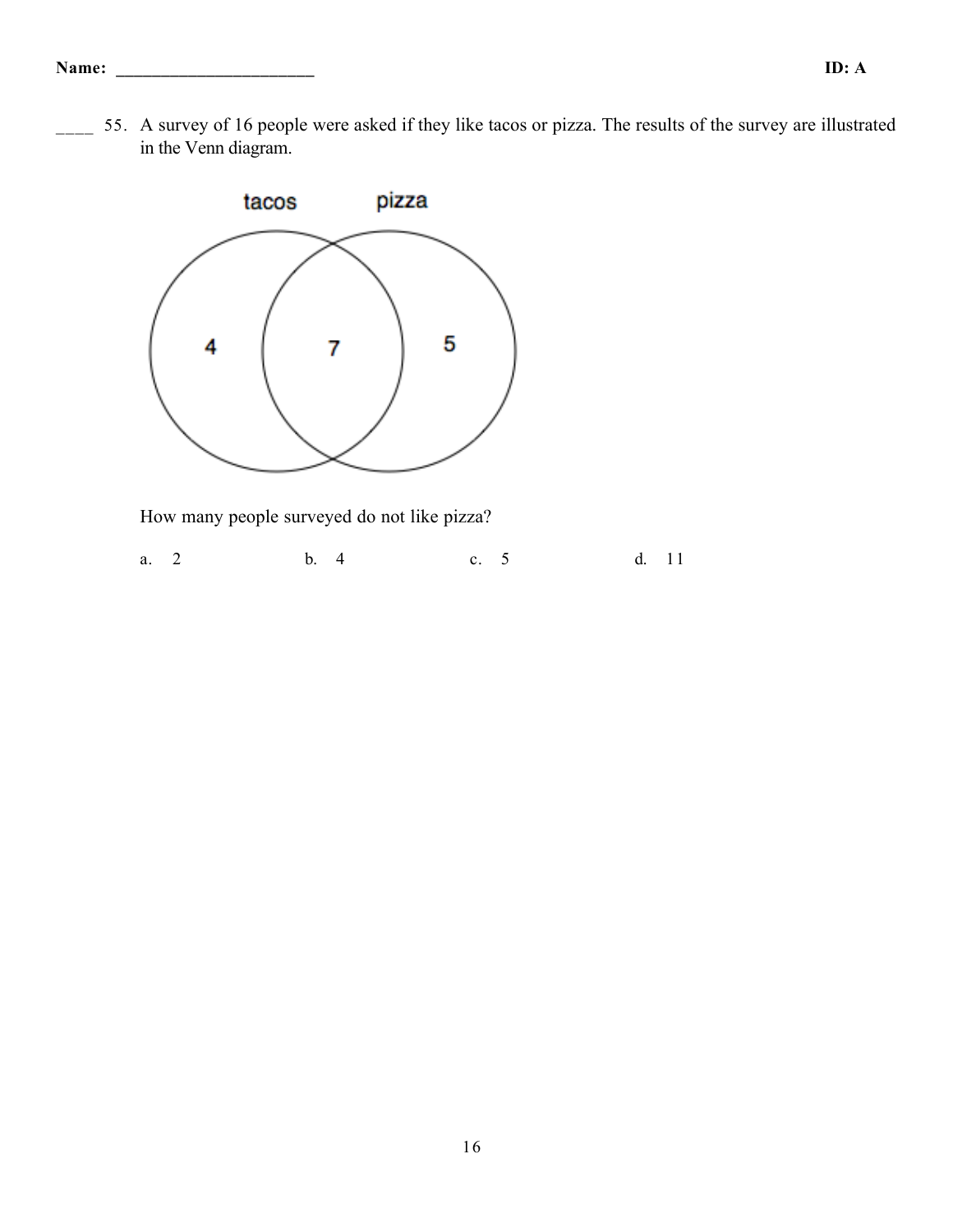55. A survey of 16 people were asked if they like tacos or pizza. The results of the survey are illustrated in the Venn diagram.



How many people surveyed do not like pizza?

a. 2 b. 4 c. 5 d. 11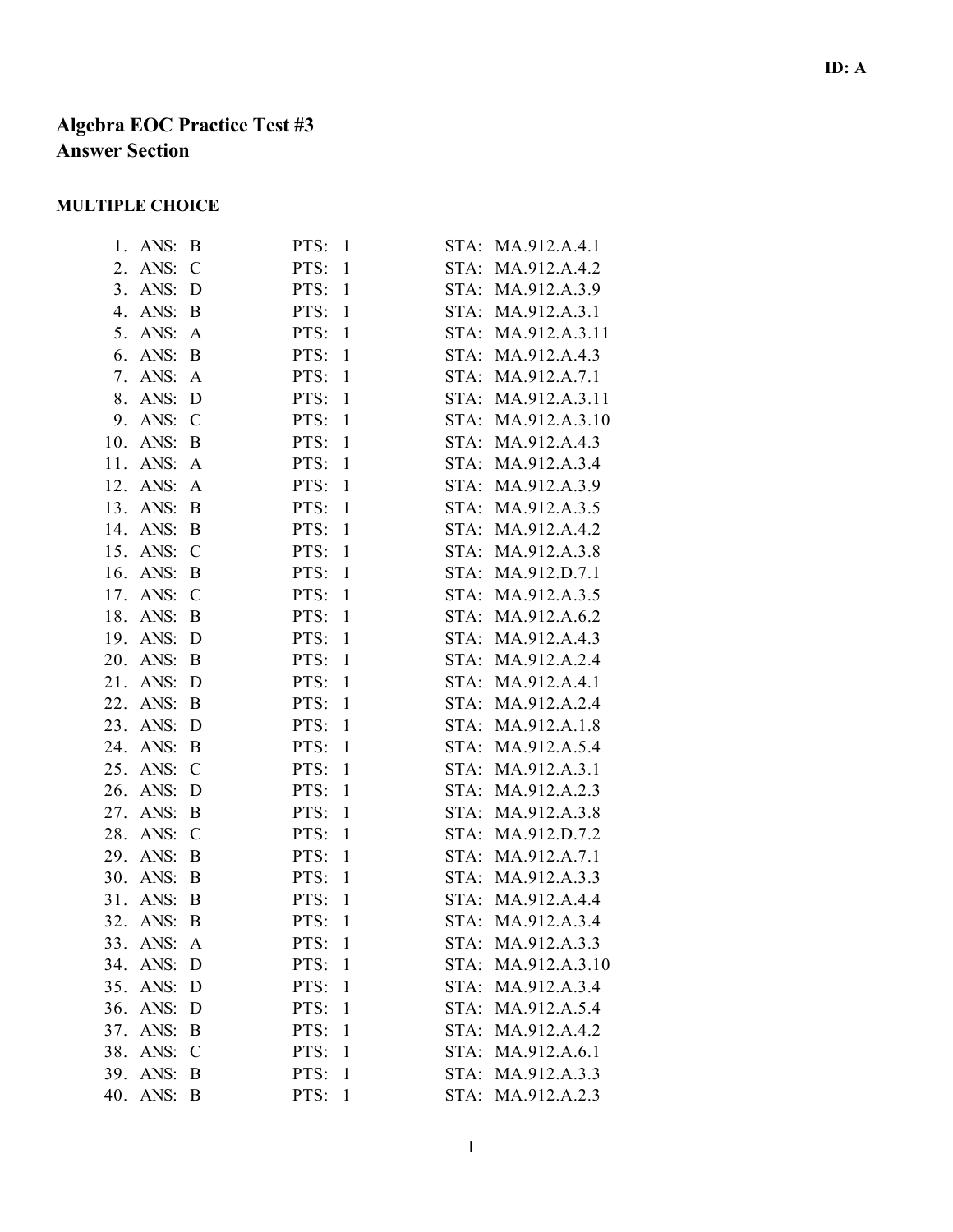# **Algebra EOC Practice Test #3 Answer Section**

## **MULTIPLE CHOICE**

| ANS:        | B             |                      | STA: | MA.912.A.4.1                                                                                                                                                                                                                                                 |
|-------------|---------------|----------------------|------|--------------------------------------------------------------------------------------------------------------------------------------------------------------------------------------------------------------------------------------------------------------|
| ANS:        | $\mathcal{C}$ | PTS:<br>$\mathbf{1}$ |      | MA.912.A.4.2                                                                                                                                                                                                                                                 |
| 3.<br>ANS:  | D             | PTS:<br>$\mathbf{1}$ |      | MA.912.A.3.9                                                                                                                                                                                                                                                 |
| ANS:        | B             | $\mathbf{1}$<br>PTS: |      | STA: MA.912.A.3.1                                                                                                                                                                                                                                            |
| ANS:        | A             | PTS:<br>$\mathbf{1}$ |      | MA.912.A.3.11                                                                                                                                                                                                                                                |
| ANS:        | B             | PTS:<br>$\mathbf{1}$ |      | MA.912.A.4.3                                                                                                                                                                                                                                                 |
| ANS:        | A             | $\mathbf{1}$<br>PTS: |      | MA.912.A.7.1                                                                                                                                                                                                                                                 |
| ANS:        | D             | PTS:<br>$\mathbf{1}$ |      | MA.912.A.3.11                                                                                                                                                                                                                                                |
| 9.<br>ANS:  | $\mathcal{C}$ | PTS:<br>$\mathbf{1}$ |      | MA.912.A.3.10                                                                                                                                                                                                                                                |
| ANS:        | B             | $\mathbf{1}$<br>PTS: |      | MA.912.A.4.3                                                                                                                                                                                                                                                 |
| ANS:        | A             | PTS:<br>$\mathbf{1}$ |      | MA.912.A.3.4                                                                                                                                                                                                                                                 |
| ANS:        | A             | PTS:<br>$\mathbf{1}$ |      | MA.912.A.3.9                                                                                                                                                                                                                                                 |
| ANS:        | B             | $\mathbf{1}$<br>PTS: |      | MA.912.A.3.5                                                                                                                                                                                                                                                 |
| ANS:        | B             | PTS:<br>$\mathbf{1}$ |      | MA.912.A.4.2                                                                                                                                                                                                                                                 |
| ANS:        | $\mathcal{C}$ | PTS:<br>$\mathbf{1}$ |      | MA.912.A.3.8                                                                                                                                                                                                                                                 |
| 16.<br>ANS: | B             | $\mathbf{1}$<br>PTS: |      | STA: MA.912.D.7.1                                                                                                                                                                                                                                            |
| ANS:        | $\mathcal{C}$ | PTS:<br>$\mathbf{1}$ |      | MA.912.A.3.5                                                                                                                                                                                                                                                 |
| ANS:        | B             | PTS:<br>$\mathbf{1}$ |      | MA.912.A.6.2                                                                                                                                                                                                                                                 |
| ANS:        | D             | $\mathbf{1}$<br>PTS: |      | MA.912.A.4.3                                                                                                                                                                                                                                                 |
| 20.<br>ANS: | B             | PTS:<br>$\mathbf{1}$ |      | MA.912.A.2.4                                                                                                                                                                                                                                                 |
| ANS:        | D             | PTS:<br>$\mathbf{1}$ |      | MA.912.A.4.1                                                                                                                                                                                                                                                 |
| ANS:        | B             | $\mathbf{1}$<br>PTS: |      | STA: MA.912.A.2.4                                                                                                                                                                                                                                            |
| 23.<br>ANS: | D             | PTS:<br>$\mathbf{1}$ |      | MA.912.A.1.8                                                                                                                                                                                                                                                 |
| ANS:        | B             | PTS:<br>$\mathbf{1}$ |      | MA.912.A.5.4                                                                                                                                                                                                                                                 |
| ANS:        | $\mathcal{C}$ | $\mathbf{1}$<br>PTS: |      | MA.912.A.3.1                                                                                                                                                                                                                                                 |
| 26.<br>ANS: | D             | PTS:<br>$\mathbf{1}$ |      | MA.912.A.2.3                                                                                                                                                                                                                                                 |
| ANS:        | B             | PTS:<br>$\mathbf{1}$ |      | MA.912.A.3.8                                                                                                                                                                                                                                                 |
| ANS:        | $\mathcal{C}$ | $\mathbf{1}$<br>PTS: |      | MA.912.D.7.2                                                                                                                                                                                                                                                 |
| ANS:        | B             | PTS:<br>$\mathbf{1}$ | STA: | MA.912.A.7.1                                                                                                                                                                                                                                                 |
| ANS:        | B             | PTS:<br>$\mathbf{1}$ |      | MA.912.A.3.3                                                                                                                                                                                                                                                 |
| ANS:        | B             | PTS:<br>$\mathbf{1}$ |      | MA.912.A.4.4                                                                                                                                                                                                                                                 |
| ANS:        | B             | PTS:<br>$\mathbf{1}$ |      | STA: MA.912.A.3.4                                                                                                                                                                                                                                            |
| 33.<br>ANS: | A             | PTS:<br>$\mathbf{1}$ | STA: | MA.912.A.3.3                                                                                                                                                                                                                                                 |
| ANS:        | D             | $\mathbf{1}$<br>PTS: |      | MA.912.A.3.10                                                                                                                                                                                                                                                |
| ANS:<br>35. | D             | $\mathbf{1}$<br>PTS: |      | MA.912.A.3.4                                                                                                                                                                                                                                                 |
| ANS:        | D             | PTS:<br>1            |      | STA: MA.912.A.5.4                                                                                                                                                                                                                                            |
| ANS:        | B             | $\mathbf{1}$<br>PTS: |      | STA: MA.912.A.4.2                                                                                                                                                                                                                                            |
| ANS:        | $\mathcal{C}$ | $\mathbf{1}$<br>PTS: |      | MA.912.A.6.1                                                                                                                                                                                                                                                 |
| ANS:        | B             | PTS:<br>$\mathbf{1}$ | STA: | MA.912.A.3.3                                                                                                                                                                                                                                                 |
| ANS:        | B             | $\mathbf{1}$<br>PTS: |      | STA: MA.912.A.2.3                                                                                                                                                                                                                                            |
|             |               |                      |      | PTS:<br>$\mathbf{1}$<br>STA:<br>STA:<br>STA:<br>STA:<br>STA:<br>STA:<br>STA:<br>STA:<br>STA:<br>STA:<br>STA:<br>STA:<br>STA:<br>STA:<br>STA:<br>STA:<br>STA:<br>STA:<br>STA:<br>STA:<br>STA:<br>STA:<br>STA:<br>STA:<br>STA:<br>STA:<br>STA:<br>STA:<br>STA: |